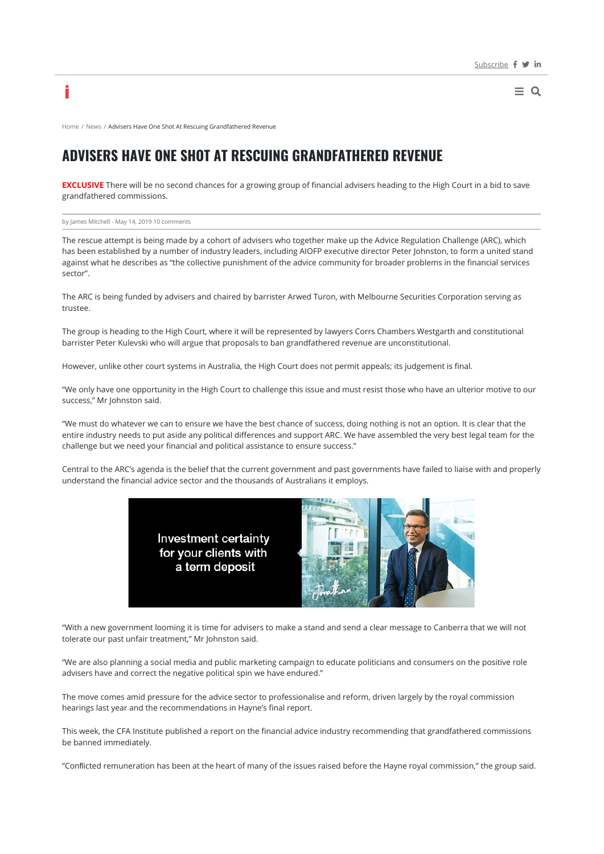$\equiv$  Q

Home / News / Advisers Have One Shot At Rescuing Grandfathered Revenue

# **ADVISERS HAVE ONE SHOT AT RESCUING GRANDFATHERED REVENUE**

**EXCLUSIVE** There will be no second chances for a growing group of financial advisers heading to the High Court in a bid to save grandfathered commissions.

by James Mitchell - May 14, 2019 10 comments

i

The rescue attempt is being made by a cohort of advisers who together make up the Advice Regulation Challenge (ARC), which has been established by a number of industry leaders, including AIOFP executive director Peter Johnston, to form a united stand against what he describes as "the collective punishment of the advice community for broader problems in the financial services sector".

The ARC is being funded by advisers and chaired by barrister Arwed Turon, with Melbourne Securities Corporation serving as trustee.

The group is heading to the High Court, where it will be represented by lawyers Corrs Chambers Westgarth and constitutional barrister Peter Kulevski who will argue that proposals to ban grandfathered revenue are unconstitutional.

However, unlike other court systems in Australia, the High Court does not permit appeals; its judgement is final.

"We only have one opportunity in the High Court to challenge this issue and must resist those who have an ulterior motive to our success," Mr Johnston said.

"We must do whatever we can to ensure we have the best chance of success, doing nothing is not an option. It is clear that the entire industry needs to put aside any political differences and support ARC. We have assembled the very best legal team for the challenge but we need your financial and political assistance to ensure success."

Central to the ARC's agenda is the belief that the current government and past governments have failed to liaise with and properly understand the financial advice sector and the thousands of Australians it employs.



"With a new government looming it is time for advisers to make a stand and send a clear message to Canberra that we will not tolerate our past unfair treatment," Mr Johnston said.

"We are also planning a social media and public marketing campaign to educate politicians and consumers on the positive role advisers have and correct the negative political spin we have endured."

The move comes amid pressure for the advice sector to professionalise and reform, driven largely by the royal commission hearings last year and the recommendations in Hayne's final report.

This week, the CFA Institute published a report on the financial advice industry recommending that grandfathered commissions be banned immediately.

"Conflicted remuneration has been at the heart of many of the issues raised before the Hayne royal commission," the group said.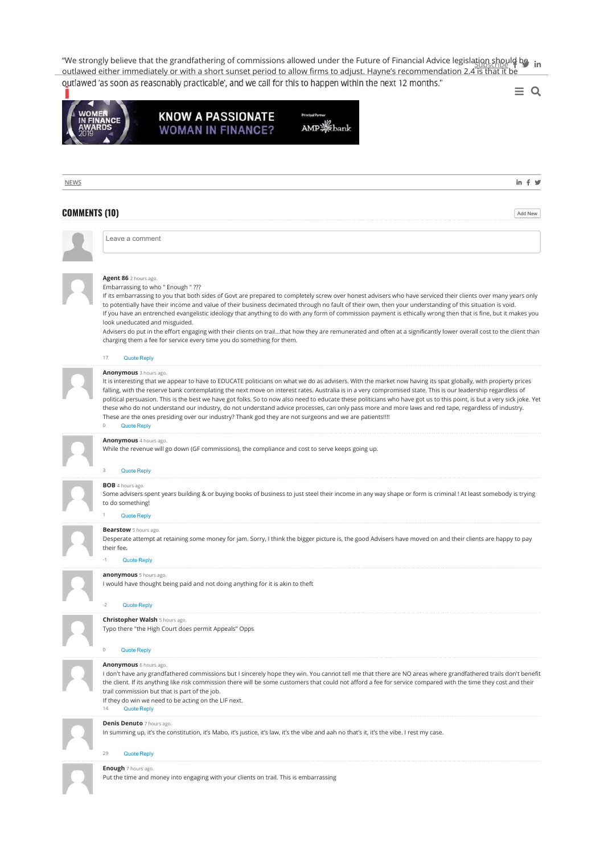"We strongly believe that the grandfathering of commissions allowed under the Future of Financial Advice legislation should be  $\:$  in outlawed either immediately or with a short sunset period to allow firms to adjust. Hayne's recommendation 2.4 is that it be outlawed 'as soon as reasonably practicable', and we call for this to happen within the next 12 months."  $\equiv$  Q



### **KNOW A PASSIONATE WOMAN IN FINANCE?**

AMP **※**bank

**NEWS COMMENTS (10)** Add New **Add New Property Constraints (10) Agent 86** 2 hours ago. Embarrassing to who " Enough " ??? If its embarrassing to you that both sides of Govt are prepared to completely screw over honest advisers who have serviced their clients over many years only to potentially have their income and value of their business decimated through no fault of their own, then your understanding of this situation is void. If you have an entrenched evangelistic ideology that anything to do with any form of commission payment is ethically wrong then that is fine, but it makes you look uneducated and misguided. Advisers do put in the effort engaging with their clients on trail...that how they are remunerated and often at a significantly lower overall cost to the client than charging them a fee for service every time you do something for them. **Anonymous** 3 hours ago. It is interesting that we appear to have to EDUCATE politicians on what we do as advisers. With the market now having its spat globally, with property prices falling, with the reserve bank contemplating the next move on interest rates. Australia is in a very compromised state. This is our leadership regardless of political persuasion. This is the best we have got folks. So to now also need to educate these politicians who have got us to this point, is but a very sick joke. Yet these who do not understand our industry, do not understand advice processes, can only pass more and more laws and red tape, regardless of industry. These are the ones presiding over our industry? Thank god they are not surgeons and we are patients!!!! **Anonymous** 4 hours ago. While the revenue will go down (GF commissions), the compliance and cost to serve keeps going up. **BOB** 4 hours ago. Some advisers spent years building & or buying books of business to just steel their income in any way shape or form is criminal ! At least somebody is trying to do something! **Bearstow** 5 hours ago. Desperate attempt at retaining some money for jam. Sorry, I think the bigger picture is, the good Advisers have moved on and their clients are happy to pay their fee. **anonymous** 5 hours ago. I would have thought being paid and not doing anything for it is akin to theft **Christopher Walsh** 5 hours ago. Typo there "the High Court does permit Appeals" Opps **Anonymous** 6 hours ago. I don't have any grandfathered commissions but I sincerely hope they win. You cannot tell me that there are NO areas where grandfathered trails don't benefit the client. If its anything like risk commission there will be some customers that could not afford a fee for service compared with the time they cost and their trail commission but that is part of the job. If they do win we need to be acting on the LIF next. **Denis Denuto** 7 hours ago. In summing up, it's the constitution, it's Mabo, it's justice, it's law, it's the vibe and aah no that's it, it's the vibe. I rest my case. **Enough** 7 hours ago. Put the time and money into engaging with your clients on trail. This is embarrassing 17 Quote Reply 0 Quote Reply **Quote Reply Quote Reply** Quote Reply **Quote Reply Quote Reply** 14 Quote Reply 29 Quote Reply Leave a comment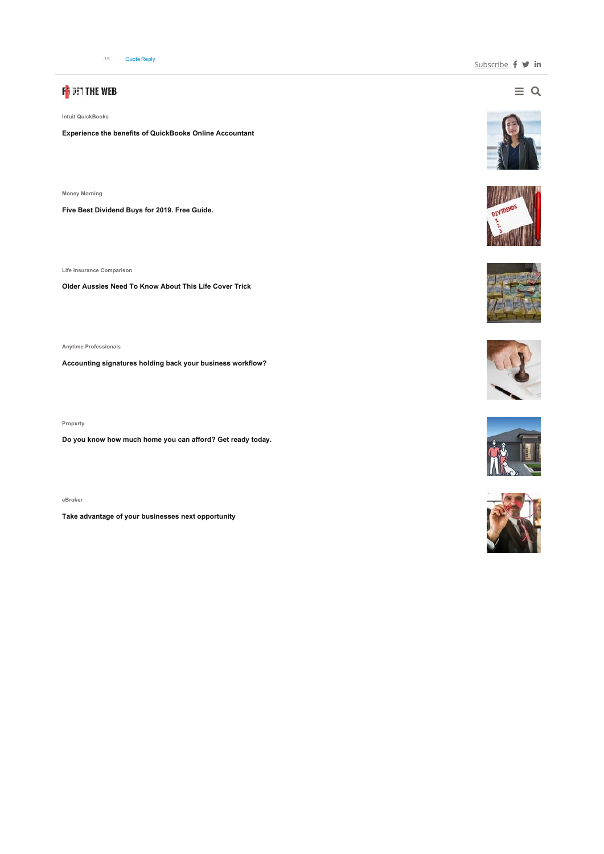# F<mark>i</mark> den the web

**Intuit QuickBooks**

**Experience the benefits of QuickBooks Online Accountant**

**Money Morning** 

**Five Best Dividend Buys for 2019. Free Guide.** 

**Life Insurance Comparison**

**Older Aussies Need To Know About This Life Cover Trick**

**Anytime Professionals**

**Accounting signatures holding back your business workflow?**

**Propxrty**

**Do you know how much home you can afford? Get ready today.** 

**eBroker**

**Take advantage of your businesses next opportunity**

 $\equiv$  Q











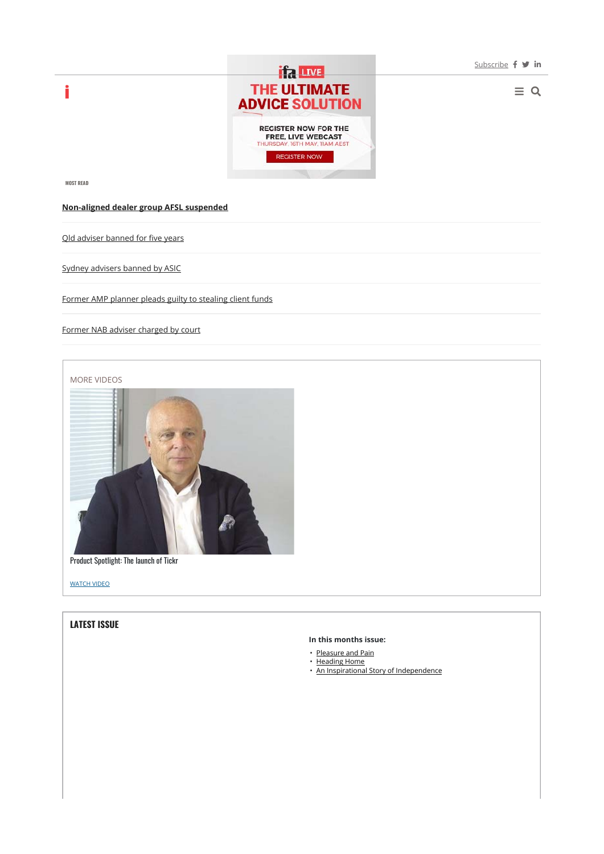$\equiv$  Q



**MOST READ**

i

#### **Non-aligned dealer group AFSL suspended**

Qld adviser banned for five years

Sydney advisers banned by ASIC

Former AMP planner pleads guilty to stealing client funds

Former NAB adviser charged by court





Product Spotlight: The launch of Tickr

WATCH VIDEO

#### **LATEST ISSUE**

#### **In this months issue:**

- Pleasure and Pain
- Heading Home
- An Inspirational Story of Independence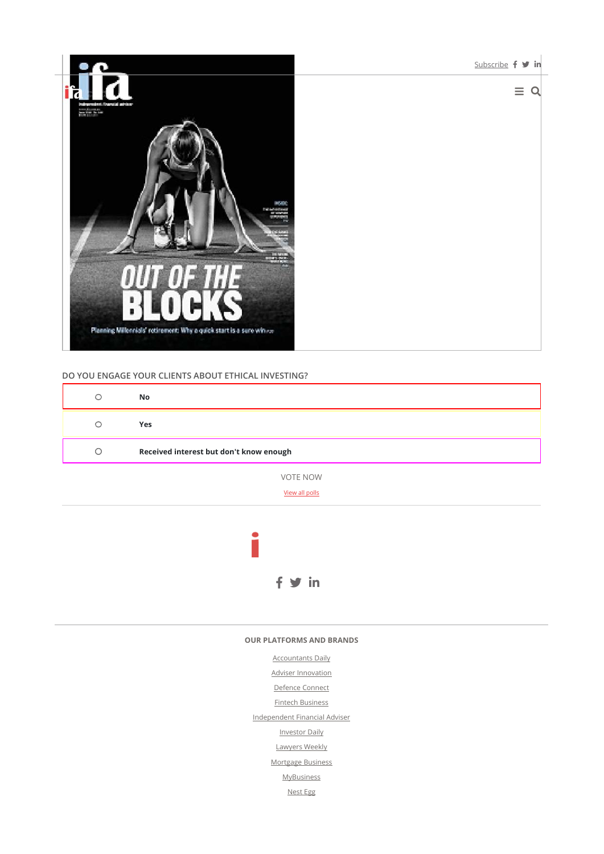

#### **DO YOU ENGAGE YOUR CLIENTS ABOUT ETHICAL INVESTING?**

| C | No                                      |
|---|-----------------------------------------|
| ∩ | Yes                                     |
| O | Received interest but don't know enough |
|   | <b>VOTE NOW</b>                         |

View all polls



#### **OUR PLATFORMS AND BRANDS**

Accountants Daily Adviser Innovation Defence Connect Fintech Business Independent Financial Adviser Investor Daily Lawyers Weekly Mortgage Business **MyBusiness** Nest Egg